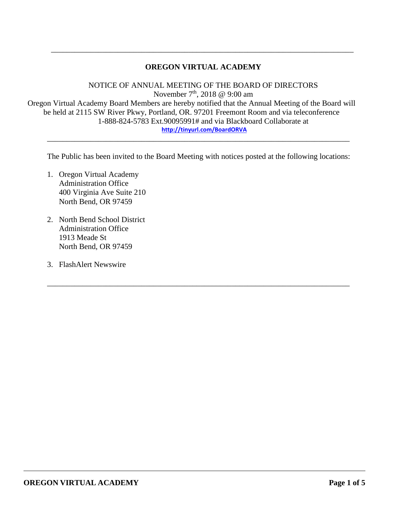## **OREGON VIRTUAL ACADEMY**

\_\_\_\_\_\_\_\_\_\_\_\_\_\_\_\_\_\_\_\_\_\_\_\_\_\_\_\_\_\_\_\_\_\_\_\_\_\_\_\_\_\_\_\_\_\_\_\_\_\_\_\_\_\_\_\_\_\_\_\_\_\_\_\_\_\_\_\_\_\_\_\_\_\_\_\_\_

NOTICE OF ANNUAL MEETING OF THE BOARD OF DIRECTORS November  $7<sup>th</sup>$ , 2018 @ 9:00 am Oregon Virtual Academy Board Members are hereby notified that the Annual Meeting of the Board will be held at 2115 SW River Pkwy, Portland, OR. 97201 Freemont Room and via teleconference 1-888-824-5783 Ext.90095991# and via Blackboard Collaborate at **<http://tinyurl.com/BoardORVA>** \_\_\_\_\_\_\_\_\_\_\_\_\_\_\_\_\_\_\_\_\_\_\_\_\_\_\_\_\_\_\_\_\_\_\_\_\_\_\_\_\_\_\_\_\_\_\_\_\_\_\_\_\_\_\_\_\_\_\_\_\_\_\_\_\_\_\_\_\_\_\_\_\_\_\_\_\_

The Public has been invited to the Board Meeting with notices posted at the following locations:

\_\_\_\_\_\_\_\_\_\_\_\_\_\_\_\_\_\_\_\_\_\_\_\_\_\_\_\_\_\_\_\_\_\_\_\_\_\_\_\_\_\_\_\_\_\_\_\_\_\_\_\_\_\_\_\_\_\_\_\_\_\_\_\_\_\_\_\_\_\_\_\_\_\_\_\_\_

- 1. Oregon Virtual Academy Administration Office 400 Virginia Ave Suite 210 North Bend, OR 97459
- 2. North Bend School District Administration Office 1913 Meade St North Bend, OR 97459
- 3. FlashAlert Newswire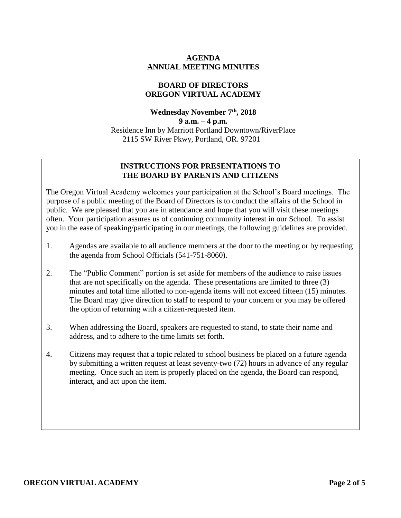### **AGENDA ANNUAL MEETING MINUTES**

#### **BOARD OF DIRECTORS OREGON VIRTUAL ACADEMY**

**Wednesday November 7th , 2018 9 a.m. – 4 p.m.** Residence Inn by Marriott Portland Downtown/RiverPlace 2115 SW River Pkwy, Portland, OR. 97201

### **INSTRUCTIONS FOR PRESENTATIONS TO THE BOARD BY PARENTS AND CITIZENS**

The Oregon Virtual Academy welcomes your participation at the School's Board meetings. The purpose of a public meeting of the Board of Directors is to conduct the affairs of the School in public. We are pleased that you are in attendance and hope that you will visit these meetings often. Your participation assures us of continuing community interest in our School. To assist you in the ease of speaking/participating in our meetings, the following guidelines are provided.

- 1. Agendas are available to all audience members at the door to the meeting or by requesting the agenda from School Officials (541-751-8060).
- 2. The "Public Comment" portion is set aside for members of the audience to raise issues that are not specifically on the agenda. These presentations are limited to three (3) minutes and total time allotted to non-agenda items will not exceed fifteen (15) minutes. The Board may give direction to staff to respond to your concern or you may be offered the option of returning with a citizen-requested item.
- 3. When addressing the Board, speakers are requested to stand, to state their name and address, and to adhere to the time limits set forth.
- 4. Citizens may request that a topic related to school business be placed on a future agenda by submitting a written request at least seventy-two (72) hours in advance of any regular meeting. Once such an item is properly placed on the agenda, the Board can respond, interact, and act upon the item.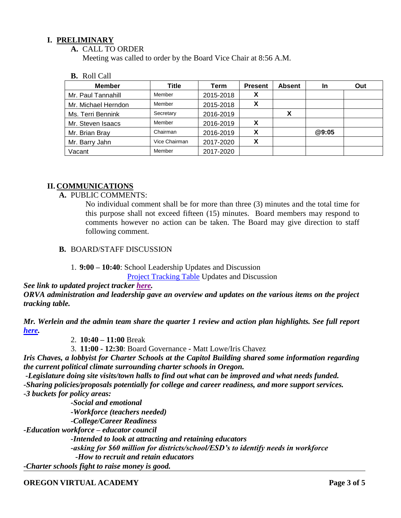### **I. PRELIMINARY**

#### **A.** CALL TO ORDER

Meeting was called to order by the Board Vice Chair at 8:56 A.M.

#### **B.** Roll Call

| <b>Member</b>       | Title         | Term      | <b>Present</b> | <b>Absent</b> | <b>In</b> | Out |
|---------------------|---------------|-----------|----------------|---------------|-----------|-----|
| Mr. Paul Tannahill  | Member        | 2015-2018 | Х              |               |           |     |
| Mr. Michael Herndon | Member        | 2015-2018 | х              |               |           |     |
| Ms. Terri Bennink   | Secretary     | 2016-2019 |                | х             |           |     |
| Mr. Steven Isaacs   | Member        | 2016-2019 |                |               |           |     |
| Mr. Brian Bray      | Chairman      | 2016-2019 | X              |               | @9:05     |     |
| Mr. Barry Jahn      | Vice Chairman | 2017-2020 | X              |               |           |     |
| Vacant              | Member        | 2017-2020 |                |               |           |     |

### **II. COMMUNICATIONS**

### **A.** PUBLIC COMMENTS:

No individual comment shall be for more than three (3) minutes and the total time for this purpose shall not exceed fifteen (15) minutes. Board members may respond to comments however no action can be taken. The Board may give direction to staff following comment.

## **B.** BOARD/STAFF DISCUSSION

#### 1. **9:00 – 10:40**: School Leadership Updates and Discussion

[Project Tracking Table](https://docs.google.com/document/d/1RTVhuEjAlhrFC0LuB-8wiTd-hAj64I6JH8Cj6G876Eg/edit) Updates and Discussion

*See link to updated project tracker [here.](https://k12inc-my.sharepoint.com/:b:/g/personal/mecaldwell_oregonva_org/EfINXm8F0K5Kl-wiGoTOwJ4BuDSKFBICtfRbfm103LkHdQ?e=TuxEcH) ORVA administration and leadership gave an overview and updates on the various items on the project tracking table.* 

### *Mr. Werlein and the admin team share the quarter 1 review and action plan highlights. See full report [here.](https://k12inc-my.sharepoint.com/:p:/g/personal/mecaldwell_oregonva_org/EbNREW-IQ8FFi0Bt7Hz0R9UB0JEx8TfUvAYguV4QFZvhqw?e=3f9pPC)*

2. **10:40 – 11:00** Break

3. **11:00 - 12:30**: Board Governance *-* Matt Lowe/Iris Chavez

*Iris Chaves, a lobbyist for Charter Schools at the Capitol Building shared some information regarding the current political climate surrounding charter schools in Oregon.* 

*-Legislature doing site visits/town halls to find out what can be improved and what needs funded. -Sharing policies/proposals potentially for college and career readiness, and more support services. -3 buckets for policy areas:*

*-Social and emotional -Workforce (teachers needed) -College/Career Readiness -Education workforce – educator council -Intended to look at attracting and retaining educators -asking for \$60 million for districts/school/ESD's to identify needs in workforce -How to recruit and retain educators*

*-Charter schools fight to raise money is good.*

#### **OREGON VIRTUAL ACADEMY Page 3 of 5**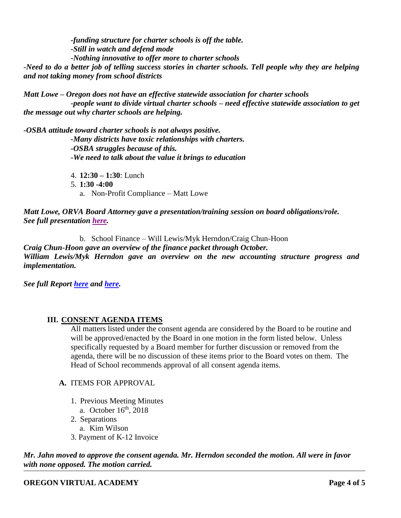*-funding structure for charter schools is off the table. -Still in watch and defend mode -Nothing innovative to offer more to charter schools*

*-Need to do a better job of telling success stories in charter schools. Tell people why they are helping and not taking money from school districts*

*Matt Lowe – Oregon does not have an effective statewide association for charter schools -people want to divide virtual charter schools – need effective statewide association to get the message out why charter schools are helping.*

*-OSBA attitude toward charter schools is not always positive. -Many districts have toxic relationships with charters. -OSBA struggles because of this. -We need to talk about the value it brings to education*

4. **12:30 – 1:30**: Lunch

5. **1:30 -4:00**

a. Non-Profit Compliance – Matt Lowe

*Matt Lowe, ORVA Board Attorney gave a presentation/training session on board obligations/role. See full presentation [here.](https://k12inc-my.sharepoint.com/:p:/g/personal/mecaldwell_oregonva_org/EQrJpowjYL5BgicPCQZI3MgBoaddfuc9J7celqqQO-56pw?e=KPzKvt)* 

b. School Finance – Will Lewis/Myk Herndon/Craig Chun-Hoon

*Craig Chun-Hoon gave an overview of the finance packet through October. William Lewis/Myk Herndon gave an overview on the new accounting structure progress and implementation.*

*See full Report [here](https://k12inc-my.sharepoint.com/:p:/g/personal/mecaldwell_oregonva_org/ES9VrgQkkPRIo51lrvQyWbQBR2Ym-twPv1_ZcEgRZ6iJng?e=eAladb) and [here.](https://k12inc-my.sharepoint.com/:x:/g/personal/mecaldwell_oregonva_org/EVcI3GFQ28JPv3cp9F_NZbIB6Iqnn-KIsC1yjvCUwFivBA?e=1NyYMu)*

## **III. CONSENT AGENDA ITEMS**

All matters listed under the consent agenda are considered by the Board to be routine and will be approved/enacted by the Board in one motion in the form listed below. Unless specifically requested by a Board member for further discussion or removed from the agenda, there will be no discussion of these items prior to the Board votes on them. The Head of School recommends approval of all consent agenda items.

#### **A.** ITEMS FOR APPROVAL

- 1. Previous Meeting Minutes
- a. October 16<sup>th</sup>, 2018
- 2. Separations
- a. Kim Wilson
- 3. Payment of K-12 Invoice

*Mr. Jahn moved to approve the consent agenda. Mr. Herndon seconded the motion. All were in favor with none opposed. The motion carried.*

## **OREGON VIRTUAL ACADEMY Page 4 of 5**